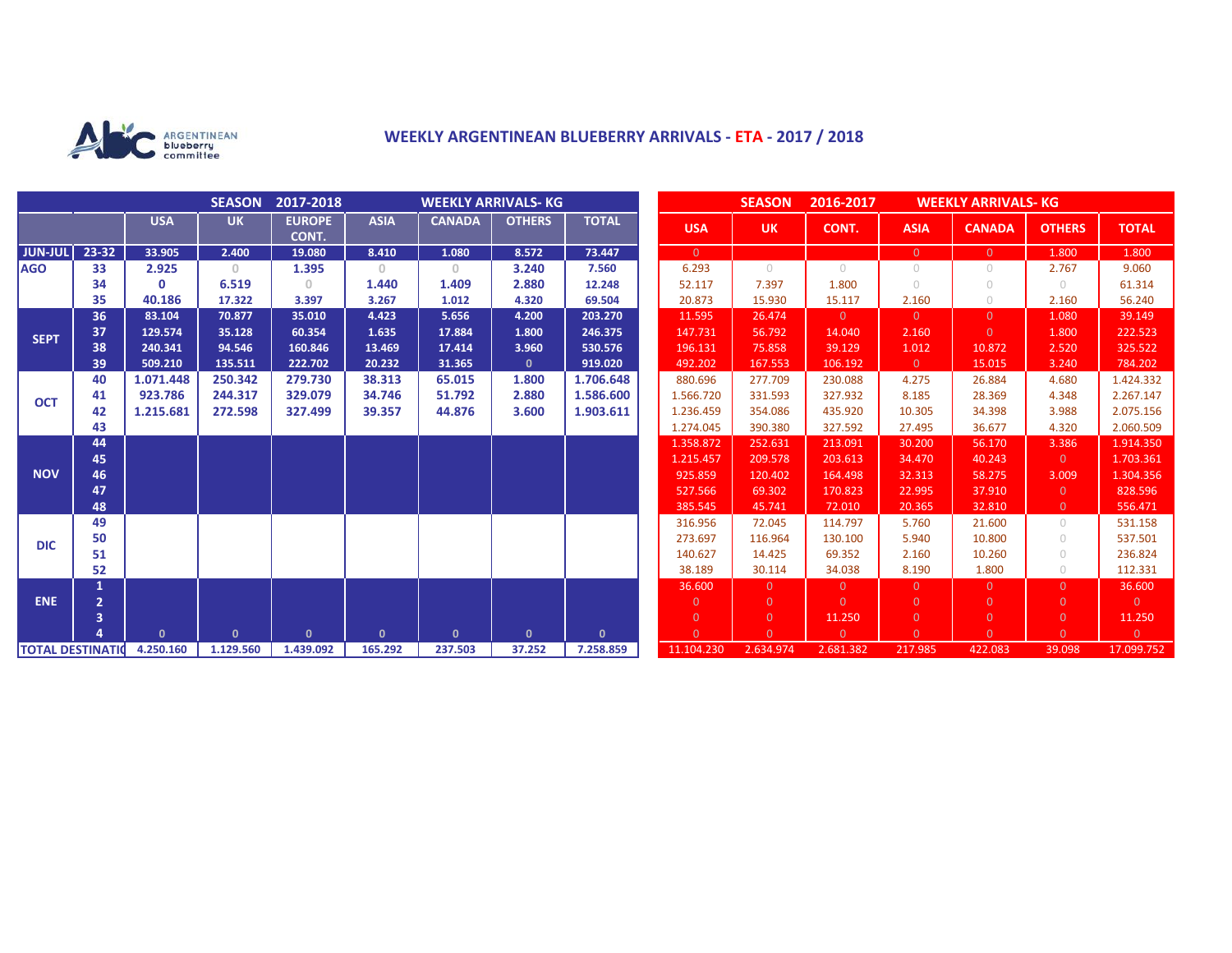

## **WEEKLY ARGENTINEAN BLUEBERRY ARRIVALS - ETA - 2017 / 2018**

|                          |                |              | <b>SEASON</b> | 2017-2018              | <b>WEEKLY ARRIVALS- KG</b> |               |               |              |  | <b>SEASON</b><br>2016-2017<br><b>WEEKLY ARRIVALS- KG</b> |                |                |                |                |                |                |
|--------------------------|----------------|--------------|---------------|------------------------|----------------------------|---------------|---------------|--------------|--|----------------------------------------------------------|----------------|----------------|----------------|----------------|----------------|----------------|
|                          |                | <b>USA</b>   | <b>UK</b>     | <b>EUROPE</b><br>CONT. | <b>ASIA</b>                | <b>CANADA</b> | <b>OTHERS</b> | <b>TOTAL</b> |  | <b>USA</b>                                               | <b>UK</b>      | CONT.          | <b>ASIA</b>    | <b>CANADA</b>  | <b>OTHERS</b>  | <b>TOTAL</b>   |
| <b>JUN-JUL</b>           | 23-32          | 33.905       | 2.400         | 19.080                 | 8.410                      | 1.080         | 8.572         | 73.447       |  | $\overline{0}$                                           |                |                | $\overline{0}$ | $\overline{0}$ | 1.800          | 1.800          |
| <b>AGO</b>               | 33             | 2.925        | $\circ$       | 1.395                  | $\mathbf{0}$               | $\circ$       | 3.240         | 7.560        |  | 6.293                                                    | $\bigcirc$     | $\bigcirc$     | $\circ$        | $\circ$        | 2.767          | 9.060          |
|                          | 34             | $\Omega$     | 6.519         | 0.                     | 1.440                      | 1.409         | 2.880         | 12.248       |  | 52.117                                                   | 7.397          | 1.800          | $\bigcirc$     | $\bigcirc$     | $\bigcirc$     | 61.314         |
|                          | 35             | 40.186       | 17.322        | 3.397                  | 3.267                      | 1.012         | 4.320         | 69.504       |  | 20.873                                                   | 15.930         | 15.117         | 2.160          | $\circ$        | 2.160          | 56.240         |
| <b>SEPT</b>              | 36             | 83.104       | 70.877        | 35.010                 | 4.423                      | 5.656         | 4.200         | 203.270      |  | 11.595                                                   | 26.474         | $\Omega$       | $\overline{0}$ | $\Omega$       | 1.080          | 39.149         |
|                          | 37             | 129.574      | 35.128        | 60.354                 | 1.635                      | 17.884        | 1.800         | 246.375      |  | 147.731                                                  | 56.792         | 14.040         | 2.160          | $\Omega$       | 1.800          | 222.523        |
|                          | 38             | 240.341      | 94.546        | 160.846                | 13.469                     | 17.414        | 3.960         | 530.576      |  | 196.131                                                  | 75.858         | 39.129         | 1.012          | 10.872         | 2.520          | 325.522        |
|                          | 39             | 509.210      | 135.511       | 222.702                | 20.232                     | 31.365        | $\mathbf{0}$  | 919.020      |  | 492.202                                                  | 167.553        | 106.192        | $\overline{0}$ | 15.015         | 3.240          | 784.202        |
| <b>OCT</b>               | 40             | 1.071.448    | 250.342       | 279.730                | 38.313                     | 65.015        | 1.800         | 1.706.648    |  | 880.696                                                  | 277.709        | 230.088        | 4.275          | 26.884         | 4.680          | 1.424.332      |
|                          | 41             | 923.786      | 244.317       | 329.079                | 34.746                     | 51.792        | 2.880         | 1.586.600    |  | 1.566.720                                                | 331.593        | 327.932        | 8.185          | 28.369         | 4.348          | 2.267.147      |
|                          | 42             | 1.215.681    | 272.598       | 327.499                | 39.357                     | 44.876        | 3.600         | 1.903.611    |  | 1.236.459                                                | 354.086        | 435.920        | 10.305         | 34.398         | 3.988          | 2.075.156      |
|                          | 43             |              |               |                        |                            |               |               |              |  | 1.274.045                                                | 390.380        | 327.592        | 27.495         | 36.677         | 4.320          | 2.060.509      |
| <b>NOV</b>               | 44             |              |               |                        |                            |               |               |              |  | 1.358.872                                                | 252.631        | 213.091        | 30.200         | 56.170         | 3.386          | 1.914.350      |
|                          | 45             |              |               |                        |                            |               |               |              |  | 1.215.457                                                | 209.578        | 203.613        | 34.470         | 40.243         | $\Omega$       | 1.703.361      |
|                          | 46             |              |               |                        |                            |               |               |              |  | 925.859                                                  | 120.402        | 164.498        | 32.313         | 58.275         | 3.009          | 1.304.356      |
|                          | 47             |              |               |                        |                            |               |               |              |  | 527.566                                                  | 69.302         | 170.823        | 22.995         | 37.910         | $\Omega$       | 828.596        |
|                          | 48             |              |               |                        |                            |               |               |              |  | 385.545                                                  | 45.741         | 72.010         | 20.365         | 32.810         | $\overline{0}$ | 556.471        |
| <b>DIC</b>               | 49             |              |               |                        |                            |               |               |              |  | 316.956                                                  | 72.045         | 114.797        | 5.760          | 21.600         | $\bigcirc$     | 531.158        |
|                          | 50             |              |               |                        |                            |               |               |              |  | 273.697                                                  | 116.964        | 130.100        | 5.940          | 10.800         | $\bigcirc$     | 537.501        |
|                          | 51             |              |               |                        |                            |               |               |              |  | 140.627                                                  | 14.425         | 69.352         | 2.160          | 10.260         | $\bigcirc$     | 236.824        |
|                          | 52             |              |               |                        |                            |               |               |              |  | 38.189                                                   | 30.114         | 34.038         | 8.190          | 1.800          | $\bigcirc$     | 112.331        |
|                          |                |              |               |                        |                            |               |               |              |  | 36,600                                                   | $\Omega$       | $\overline{0}$ | $\overline{0}$ | $\Omega$       | $\Omega$       | 36.600         |
| <b>ENE</b>               | $\overline{2}$ |              |               |                        |                            |               |               |              |  | $\mathbf{0}$                                             | $\Omega$       | $\Omega$       | $\overline{0}$ | $\Omega$       | $\overline{0}$ | $\overline{0}$ |
|                          | 3              |              |               |                        |                            |               |               |              |  | $\overline{0}$                                           | $\overline{0}$ | 11.250         | $\overline{0}$ | $\overline{0}$ | $\overline{0}$ | 11.250         |
|                          |                | $\mathbf{0}$ | $\mathbf{0}$  | $\mathbf{0}$           | $\mathbf{0}$               | $\mathbf{0}$  | $\mathbf{0}$  | $\mathbf{0}$ |  | $\Omega$                                                 | $\Omega$       | $\Omega$       | $\Omega$       | $\Omega$       | $\Omega$       | $\overline{0}$ |
| <b>TOTAL DESTINATION</b> |                | 4.250.160    | 1.129.560     | 1.439.092              | 165.292                    | 237.503       | 37.252        | 7.258.859    |  | 11.104.230                                               | 2.634.974      | 2.681.382      | 217.985        | 422.083        | 39.098         | 17.099.752     |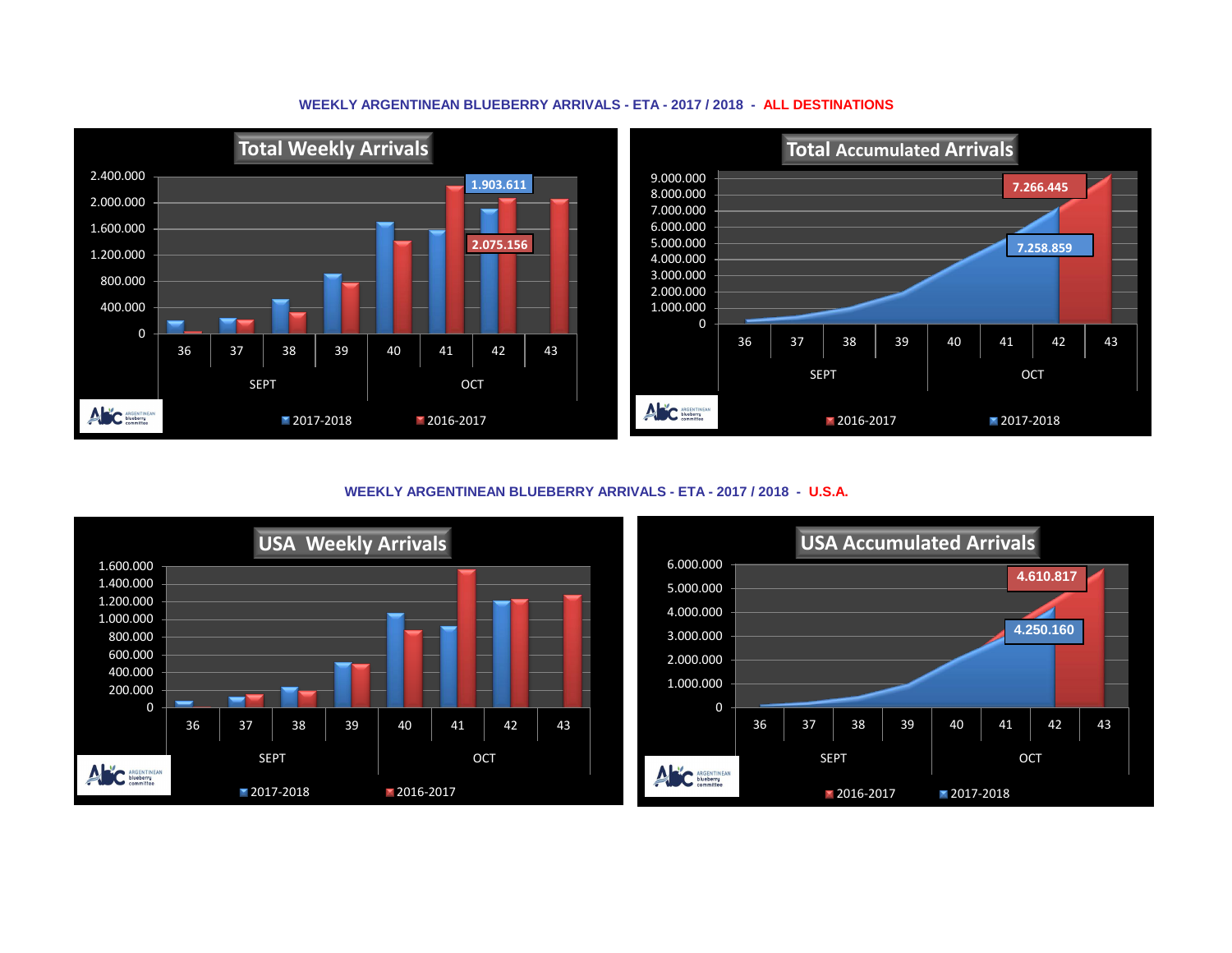## **WEEKLY ARGENTINEAN BLUEBERRY ARRIVALS - ETA - 2017 / 2018 - ALL DESTINATIONS**



**WEEKLY ARGENTINEAN BLUEBERRY ARRIVALS - ETA - 2017 / 2018 - U.S.A.**



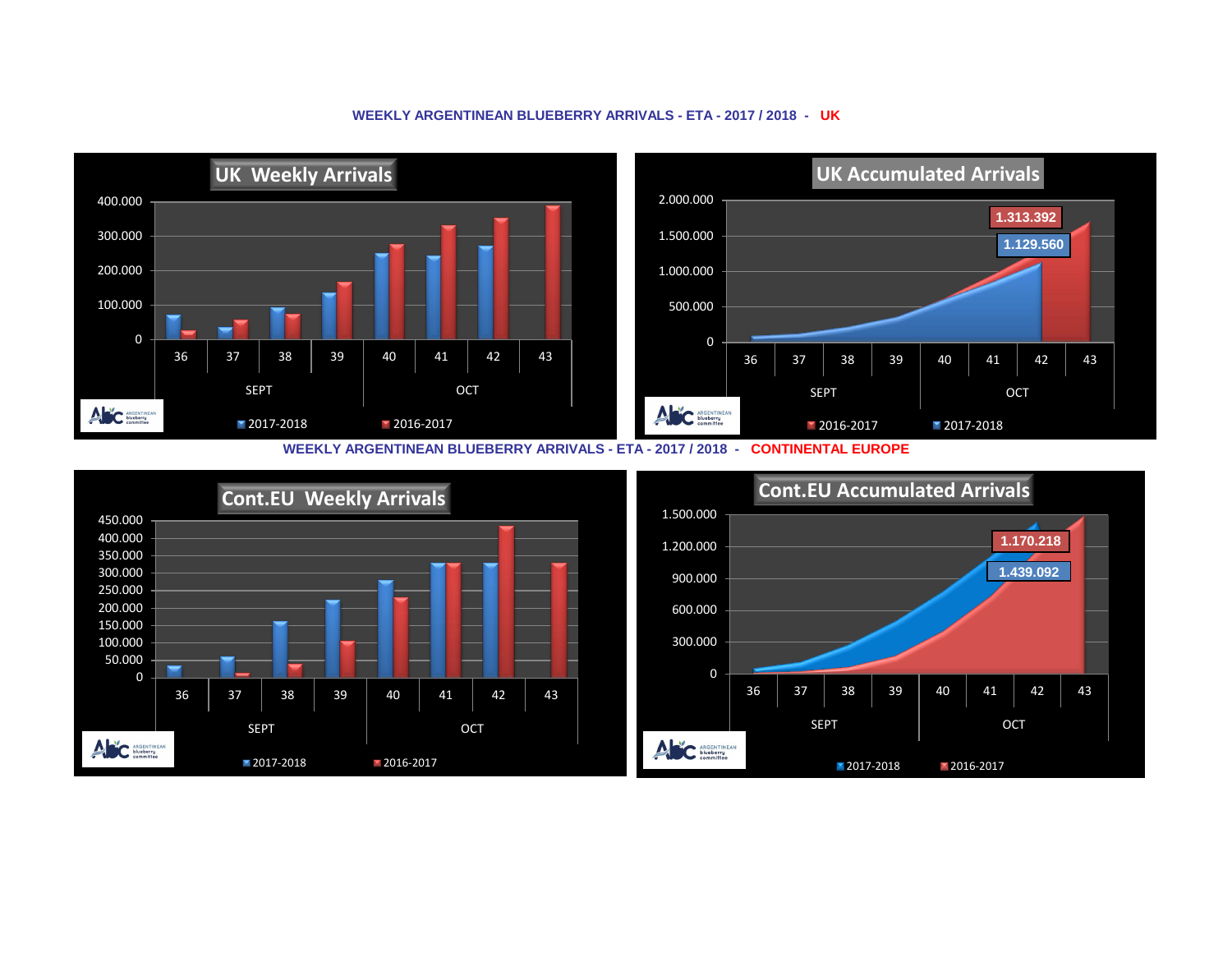

## **WEEKLY ARGENTINEAN BLUEBERRY ARRIVALS - ETA - 2017 / 2018 - UK**

**WEEKLY ARGENTINEAN BLUEBERRY ARRIVALS - ETA - 2017 / 2018 - CONTINENTAL EUROPE**